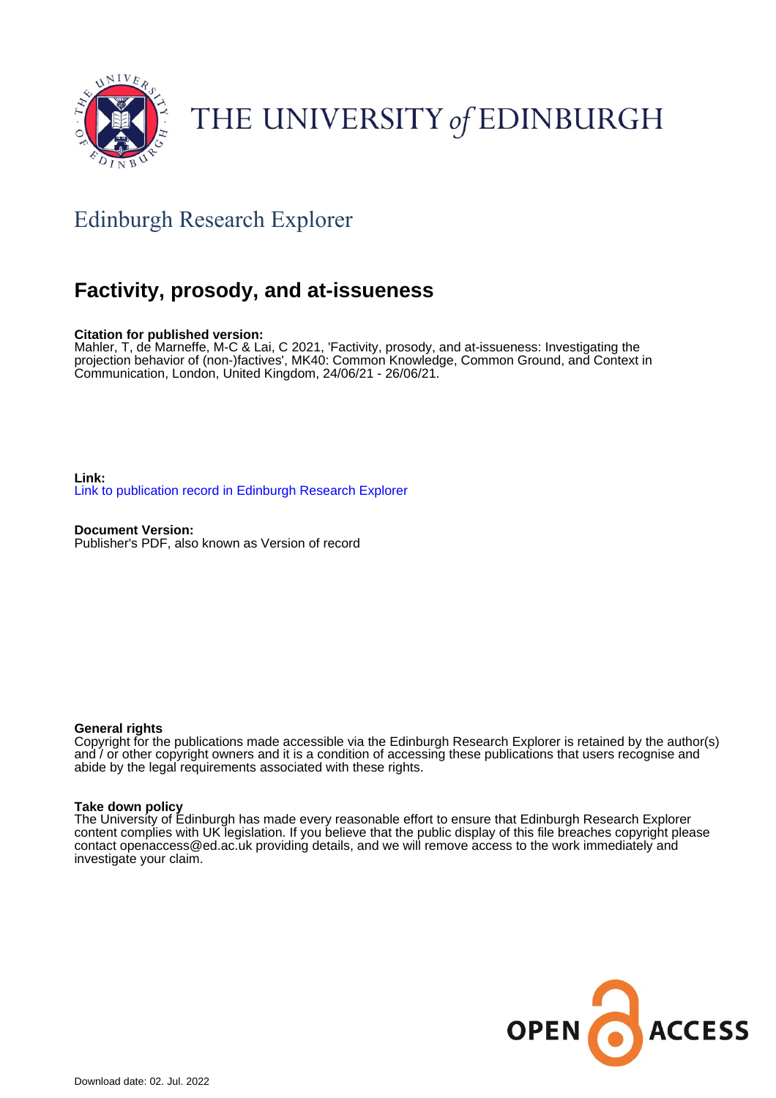

# THE UNIVERSITY of EDINBURGH

## Edinburgh Research Explorer

### **Factivity, prosody, and at-issueness**

#### **Citation for published version:**

Mahler, T, de Marneffe, M-C & Lai, C 2021, 'Factivity, prosody, and at-issueness: Investigating the projection behavior of (non-)factives', MK40: Common Knowledge, Common Ground, and Context in Communication, London, United Kingdom, 24/06/21 - 26/06/21.

**Link:** [Link to publication record in Edinburgh Research Explorer](https://www.research.ed.ac.uk/en/publications/591b7478-1b15-4b7c-a380-245401ca8ea9)

**Document Version:** Publisher's PDF, also known as Version of record

#### **General rights**

Copyright for the publications made accessible via the Edinburgh Research Explorer is retained by the author(s) and / or other copyright owners and it is a condition of accessing these publications that users recognise and abide by the legal requirements associated with these rights.

#### **Take down policy**

The University of Edinburgh has made every reasonable effort to ensure that Edinburgh Research Explorer content complies with UK legislation. If you believe that the public display of this file breaches copyright please contact openaccess@ed.ac.uk providing details, and we will remove access to the work immediately and investigate your claim.

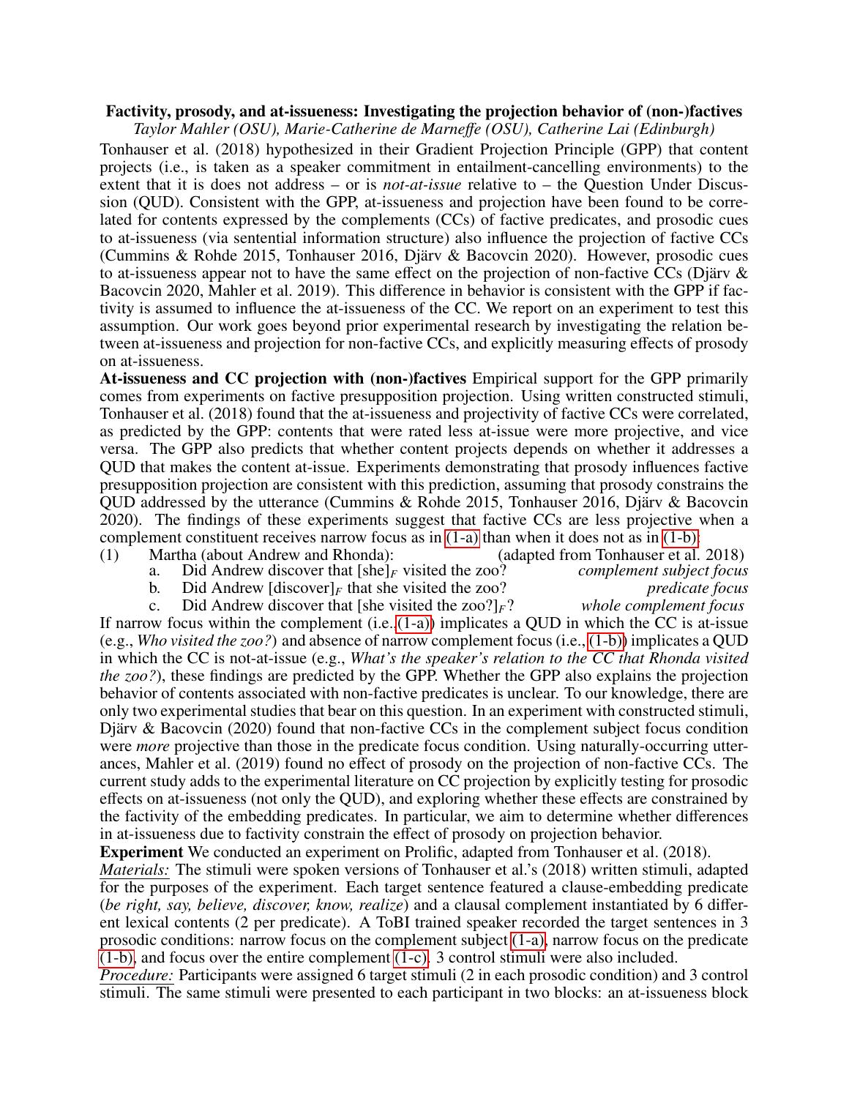#### Factivity, prosody, and at-issueness: Investigating the projection behavior of (non-)factives

*Taylor Mahler (OSU), Marie-Catherine de Marne*ff*e (OSU), Catherine Lai (Edinburgh)*

Tonhauser et al. (2018) hypothesized in their Gradient Projection Principle (GPP) that content projects (i.e., is taken as a speaker commitment in entailment-cancelling environments) to the extent that it is does not address – or is *not-at-issue* relative to – the Question Under Discussion (QUD). Consistent with the GPP, at-issueness and projection have been found to be correlated for contents expressed by the complements (CCs) of factive predicates, and prosodic cues to at-issueness (via sentential information structure) also influence the projection of factive CCs (Cummins & Rohde 2015, Tonhauser 2016, Djarv & Bacovcin 2020). However, prosodic cues ¨ to at-issueness appear not to have the same effect on the projection of non-factive CCs (Djärv  $\&$ Bacovcin 2020, Mahler et al. 2019). This difference in behavior is consistent with the GPP if factivity is assumed to influence the at-issueness of the CC. We report on an experiment to test this assumption. Our work goes beyond prior experimental research by investigating the relation between at-issueness and projection for non-factive CCs, and explicitly measuring effects of prosody on at-issueness.

At-issueness and CC projection with (non-)factives Empirical support for the GPP primarily comes from experiments on factive presupposition projection. Using written constructed stimuli, Tonhauser et al. (2018) found that the at-issueness and projectivity of factive CCs were correlated, as predicted by the GPP: contents that were rated less at-issue were more projective, and vice versa. The GPP also predicts that whether content projects depends on whether it addresses a QUD that makes the content at-issue. Experiments demonstrating that prosody influences factive presupposition projection are consistent with this prediction, assuming that prosody constrains the QUD addressed by the utterance (Cummins & Rohde 2015, Tonhauser 2016, Djärv & Bacovcin 2020). The findings of these experiments suggest that factive CCs are less projective when a complement constituent receives narrow focus as in [\(1-a\)](#page-1-0) than when it does not as in [\(1-b\):](#page-1-1)

- <span id="page-1-0"></span>(1) Martha (about Andrew and Rhonda): (adapted from Tonhauser et al. 2018)<br>a. Did Andrew discover that  $[she]_F$  visited the zoo? *complement subject focus* 
	- a. Did Andrew discover that  $[\text{she}]_F$  visited the zoo? *complement subject focus* b. Did Andrew  $[\text{discover}]_F$  that she visited the zoo? *predicate focus*

Did Andrew  $[\text{discover}]_F$  that she visited the zoo?<br>Did Andrew discover that  $[\text{she visited the zoo}]\_F$ ? *whole complement focus* c. Did Andrew discover that [she visited the zoo?] $_F$ ?

<span id="page-1-2"></span><span id="page-1-1"></span>If narrow focus within the complement  $(i.e., (1-a))$  implicates a QUD in which the CC is at-issue (e.g., *Who visited the zoo?*) and absence of narrow complement focus (i.e., [\(1-b\)\)](#page-1-1) implicates a QUD in which the CC is not-at-issue (e.g., *What's the speaker's relation to the CC that Rhonda visited the zoo?*), these findings are predicted by the GPP. Whether the GPP also explains the projection behavior of contents associated with non-factive predicates is unclear. To our knowledge, there are only two experimental studies that bear on this question. In an experiment with constructed stimuli, Djärv & Bacovcin  $(2020)$  found that non-factive CCs in the complement subject focus condition were *more* projective than those in the predicate focus condition. Using naturally-occurring utterances, Mahler et al. (2019) found no effect of prosody on the projection of non-factive CCs. The current study adds to the experimental literature on CC projection by explicitly testing for prosodic effects on at-issueness (not only the QUD), and exploring whether these effects are constrained by the factivity of the embedding predicates. In particular, we aim to determine whether differences in at-issueness due to factivity constrain the effect of prosody on projection behavior.

Experiment We conducted an experiment on Prolific, adapted from Tonhauser et al. (2018).

*Materials:* The stimuli were spoken versions of Tonhauser et al.'s (2018) written stimuli, adapted for the purposes of the experiment. Each target sentence featured a clause-embedding predicate (*be right, say, believe, discover, know, realize*) and a clausal complement instantiated by 6 different lexical contents (2 per predicate). A ToBI trained speaker recorded the target sentences in 3 prosodic conditions: narrow focus on the complement subject [\(1-a\),](#page-1-0) narrow focus on the predicate [\(1-b\),](#page-1-1) and focus over the entire complement [\(1-c\).](#page-1-2) 3 control stimuli were also included.

*Procedure:* Participants were assigned 6 target stimuli (2 in each prosodic condition) and 3 control stimuli. The same stimuli were presented to each participant in two blocks: an at-issueness block